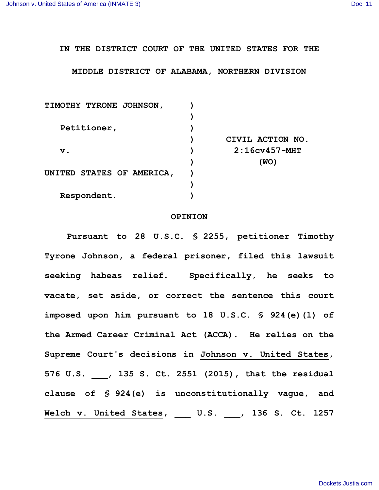## **IN THE DISTRICT COURT OF THE UNITED STATES FOR THE**

## **MIDDLE DISTRICT OF ALABAMA, NORTHERN DIVISION**

| <b>TIMOTHY TYRONE JOHNSON,</b>   |                  |
|----------------------------------|------------------|
|                                  |                  |
| Petitioner,                      |                  |
|                                  | CIVIL ACTION NO. |
| $\mathbf v$ .                    | $2:16cv457$ -MHT |
|                                  | (WO)             |
| <b>UNITED STATES OF AMERICA,</b> |                  |
|                                  |                  |
| Respondent.                      |                  |
|                                  |                  |

## **OPINION**

**Pursuant to 28 U.S.C. § 2255, petitioner Timothy Tyrone Johnson, a federal prisoner, filed this lawsuit seeking habeas relief. Specifically, he seeks to vacate, set aside, or correct the sentence this court imposed upon him pursuant to 18 U.S.C. § 924(e)(1) of the Armed Career Criminal Act (ACCA). He relies on the Supreme Court's decisions in Johnson v. United States, 576 U.S. \_\_\_, 135 S. Ct. 2551 (2015), that the residual clause of § 924(e) is unconstitutionally vague, and Welch v. United States, \_\_\_ U.S. \_\_\_, 136 S. Ct. 1257**